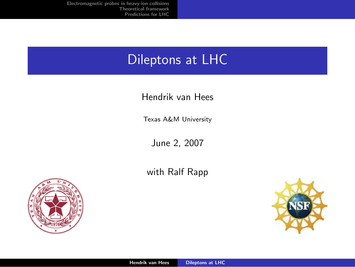# Dileptons at LHC

#### Hendrik van Hees

Texas A&M University

June 2, 2007

with Ralf Rapp



<span id="page-0-0"></span>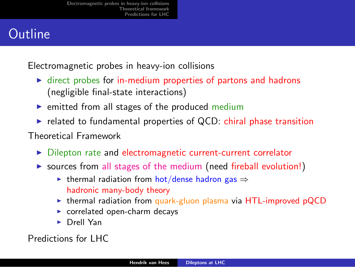# **Outline**

Electromagnetic probes in heavy-ion collisions

- $\triangleright$  direct probes for in-medium properties of partons and hadrons (negligible final-state interactions)
- $\triangleright$  emitted from all stages of the produced medium
- $\triangleright$  related to fundamental properties of QCD: chiral phase transition

Theoretical Framework

- ▶ Dilepton rate and electromagnetic current-current correlator
- $\triangleright$  sources from all stages of the medium (need fireball evolution!)
	- $\triangleright$  thermal radiation from hot/dense hadron gas  $\Rightarrow$ hadronic many-body theory
	- **Example 1** thermal radiation from quark-gluon plasma via  $HTL$ -improved pQCD
	- $\triangleright$  correlated open-charm decays
	- ▶ Drell Yan

Predictions for LHC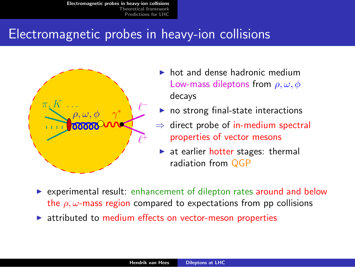### Electromagnetic probes in heavy-ion collisions



- $\blacktriangleright$  hot and dense hadronic medium Low-mass dileptons from  $\rho, \omega, \phi$ decays
- $\triangleright$  no strong final-state interactions
- direct probe of in-medium spectral properties of vector mesons
- <span id="page-2-0"></span> $\triangleright$  at earlier hotter stages: thermal radiation from QGP
- $\triangleright$  experimental result: enhancement of dilepton rates around and below the  $\rho$ ,  $\omega$ -mass region compared to expectations from pp collisions
- $\triangleright$  attributed to medium effects on vector-meson properties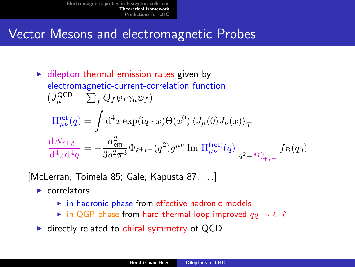### Vector Mesons and electromagnetic Probes

$$
\triangleright \text{ dilepton thermal emission rates given by}
$$
\nelectromagnetic-current-correlation function  
\n
$$
(J_{\mu}^{QCD} = \sum_{f} Q_{f} \bar{\psi}_{f} \gamma_{\mu} \psi_{f})
$$
\n
$$
\Pi_{\mu\nu}^{\text{ret}}(q) = \int d^{4}x \exp(iq \cdot x) \Theta(x^{0}) \left\langle J_{\mu}(0) J_{\nu}(x) \right\rangle_{T}
$$
\n
$$
\frac{dN_{\ell^{+}\ell^{-}}}{d^{4}x d^{4}q} = -\frac{\alpha_{\text{em}}^{2}}{3q^{2}\pi^{3}} \Phi_{\ell^{+}\ell^{-}}(q^{2}) g^{\mu\nu} \text{Im } \Pi_{\mu\nu}^{(\text{ret})}(q) \Big|_{q^{2} = M_{\ell^{+}\ell^{-}}} f_{B}(q_{0})
$$

[McLerran, Toimela 85; Gale, Kapusta 87, . . .]

- $\blacktriangleright$  correlators
	- $\triangleright$  in hadronic phase from effective hadronic models
	- ► in QGP phase from hard-thermal loop improved  $q\bar{q} \rightarrow \ell^+ \ell^-$
- <span id="page-3-0"></span> $\blacktriangleright$  directly related to chiral symmetry of QCD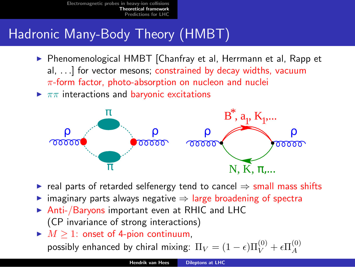# Hadronic Many-Body Theory (HMBT)

- ▶ Phenomenological HMBT [Chanfray et al, Herrmann et al, Rapp et al, . . .] for vector mesons; constrained by decay widths, vacuum  $\pi$ -form factor, photo-absorption on nucleon and nuclei
- $\blacktriangleright \pi\pi$  interactions and baryonic excitations



- $\triangleright$  real parts of retarded selfenergy tend to cancel  $\Rightarrow$  small mass shifts
- $\triangleright$  imaginary parts always negative  $\Rightarrow$  large broadening of spectra
- ▶ Anti-/Baryons important even at RHIC and LHC (CP invariance of strong interactions)
- $\blacktriangleright M \geq 1$ : onset of 4-pion continuum, possibly enhanced by chiral mixing:  $\Pi_V = (1-\epsilon) \Pi_V^{(0)} + \epsilon \Pi_A^{(0)}$ A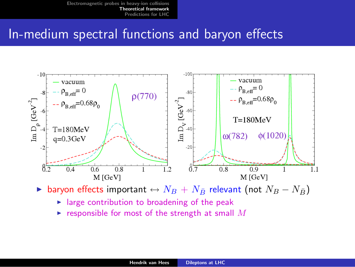### In-medium spectral functions and baryon effects



► baryon effects important  $\leftrightarrow N_B + N_{\bar{B}}$  relevant (not  $N_B - N_{\bar{B}}$ )

- $\blacktriangleright$  large contribution to broadening of the peak
- $\blacktriangleright$  responsible for most of the strength at small M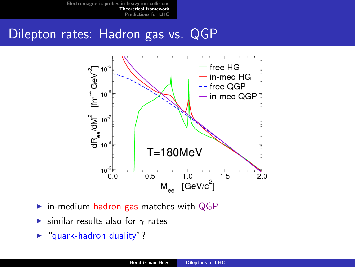### Dilepton rates: Hadron gas vs. QGP



- $\triangleright$  in-medium hadron gas matches with QGP
- ► similar results also for  $\gamma$  rates
- $\blacktriangleright$  "quark-hadron duality"?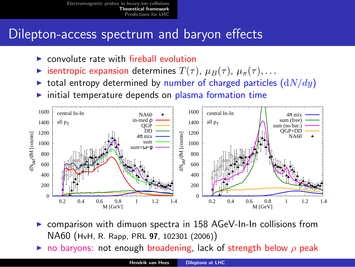### Dilepton-access spectrum and baryon effects

- $\triangleright$  convolute rate with fireball evolution
- **Example is isentropic expansion determines**  $T(\tau)$ ,  $\mu_B(\tau)$ ,  $\mu_{\pi}(\tau)$ , ...
- ight total entropy determined by number of charged particles  $(dN/dy)$
- $\triangleright$  initial temperature depends on plasma formation time



- comparison with dimuon spectra in 158 AGeV-In-In collisions from NA60 (HvH, R. Rapp, PRL 97, 102301 (2006))
- no baryons: not enough broadening, lack of strength below  $\rho$  peak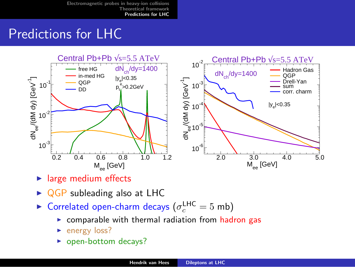# Predictions for LHC



- $\blacktriangleright$  large medium effects
- $\triangleright$  QGP subleading also at LHC
- <span id="page-8-0"></span>► Correlated open-charm decays ( $\sigma_c^{\text{LHC}} = 5 \text{ mb}$ )
	- $\triangleright$  comparable with thermal radiation from hadron gas
	- $\blacktriangleright$  energy loss?
	- $\blacktriangleright$  open-bottom decays?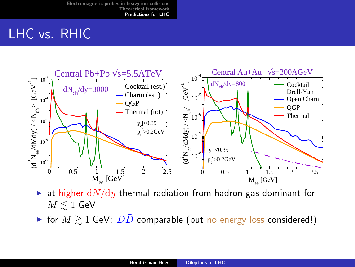# LHC vs. RHIC



- ightharpoonup at higher  $dN/dy$  thermal radiation from hadron gas dominant for  $M \leq 1$  GeV
- ► for  $M \gtrsim 1$  GeV:  $D\overline{D}$  comparable (but no energy loss considered!)